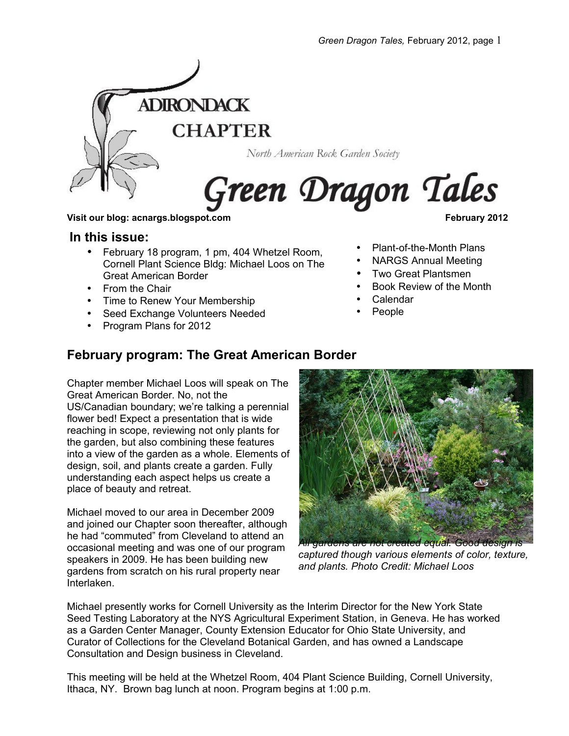

North American Rock Garden Society

# Green Dragon Tales

#### **Visit our blog: acnargs.blogspot.com February 2012**

#### **In this issue:**

- February 18 program, 1 pm, 404 Whetzel Room, Cornell Plant Science Bldg: Michael Loos on The Great American Border
- From the Chair
- Time to Renew Your Membership
- Seed Exchange Volunteers Needed
- Program Plans for 2012

- Plant-of-the-Month Plans
- NARGS Annual Meeting
- Two Great Plantsmen
- Book Review of the Month
- Calendar
- People

## **February program: The Great American Border**

Chapter member Michael Loos will speak on The Great American Border. No, not the US/Canadian boundary; we're talking a perennial flower bed! Expect a presentation that is wide reaching in scope, reviewing not only plants for the garden, but also combining these features into a view of the garden as a whole. Elements of design, soil, and plants create a garden. Fully understanding each aspect helps us create a place of beauty and retreat.

Michael moved to our area in December 2009 and joined our Chapter soon thereafter, although he had "commuted" from Cleveland to attend an occasional meeting and was one of our program speakers in 2009. He has been building new gardens from scratch on his rural property near Interlaken.



*captured though various elements of color, texture, and plants. Photo Credit: Michael Loos*

Michael presently works for Cornell University as the Interim Director for the New York State Seed Testing Laboratory at the NYS Agricultural Experiment Station, in Geneva. He has worked as a Garden Center Manager, County Extension Educator for Ohio State University, and Curator of Collections for the Cleveland Botanical Garden, and has owned a Landscape Consultation and Design business in Cleveland.

This meeting will be held at the Whetzel Room, 404 Plant Science Building, Cornell University, Ithaca, NY. Brown bag lunch at noon. Program begins at 1:00 p.m.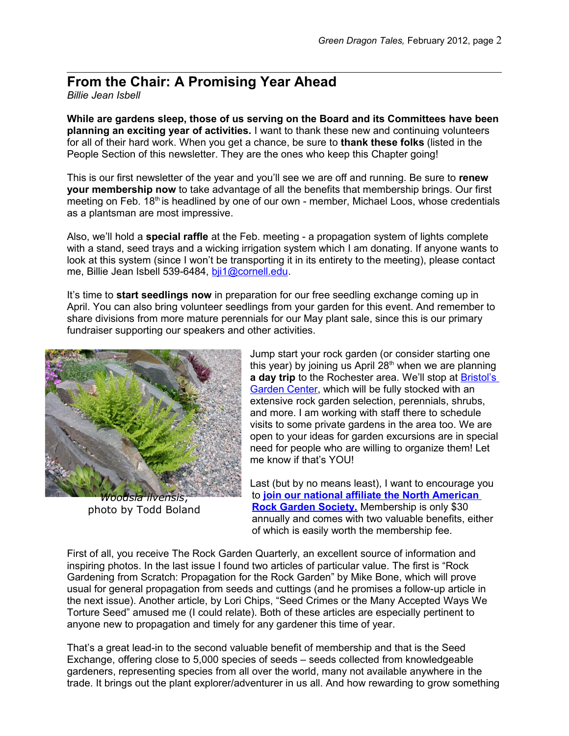# **From the Chair: A Promising Year Ahead**

*Billie Jean Isbell*

**While are gardens sleep, those of us serving on the Board and its Committees have been planning an exciting year of activities.** I want to thank these new and continuing volunteers for all of their hard work. When you get a chance, be sure to **thank these folks** (listed in the People Section of this newsletter. They are the ones who keep this Chapter going!

This is our first newsletter of the year and you'll see we are off and running. Be sure to **renew your membership now** to take advantage of all the benefits that membership brings. Our first meeting on Feb. 18<sup>th</sup> is headlined by one of our own - member, Michael Loos, whose credentials as a plantsman are most impressive.

Also, we'll hold a **special raffle** at the Feb. meeting - a propagation system of lights complete with a stand, seed trays and a wicking irrigation system which I am donating. If anyone wants to look at this system (since I won't be transporting it in its entirety to the meeting), please contact me, Billie Jean Isbell 539-6484, bij1@cornell.edu.

It's time to **start seedlings now** in preparation for our free seedling exchange coming up in April. You can also bring volunteer seedlings from your garden for this event. And remember to share divisions from more mature perennials for our May plant sale, since this is our primary fundraiser supporting our speakers and other activities.



photo by Todd Boland

Jump start your rock garden (or consider starting one this year) by joining us April  $28<sup>th</sup>$  when we are planning **a day trip** to the Rochester area. We'll stop at [Bristol's](http://www.bristolsgardencenter.com/) [Garden Center,](http://www.bristolsgardencenter.com/) which will be fully stocked with an extensive rock garden selection, perennials, shrubs, and more. I am working with staff there to schedule visits to some private gardens in the area too. We are open to your ideas for garden excursions are in special need for people who are willing to organize them! Let me know if that's YOU!

Last (but by no means least), I want to encourage you to **[join our national affiliate the North American](http://www.nargs.org/index.php?option=com_content&view=category&id=40&Itemid=65) [Rock Garden Society.](http://www.nargs.org/index.php?option=com_content&view=category&id=40&Itemid=65)** Membership is only \$30 annually and comes with two valuable benefits, either of which is easily worth the membership fee.

First of all, you receive The Rock Garden Quarterly, an excellent source of information and inspiring photos. In the last issue I found two articles of particular value. The first is "Rock Gardening from Scratch: Propagation for the Rock Garden" by Mike Bone, which will prove usual for general propagation from seeds and cuttings (and he promises a follow-up article in the next issue). Another article, by Lori Chips, "Seed Crimes or the Many Accepted Ways We Torture Seed" amused me (I could relate). Both of these articles are especially pertinent to anyone new to propagation and timely for any gardener this time of year.

That's a great lead-in to the second valuable benefit of membership and that is the Seed Exchange, offering close to 5,000 species of seeds – seeds collected from knowledgeable gardeners, representing species from all over the world, many not available anywhere in the trade. It brings out the plant explorer/adventurer in us all. And how rewarding to grow something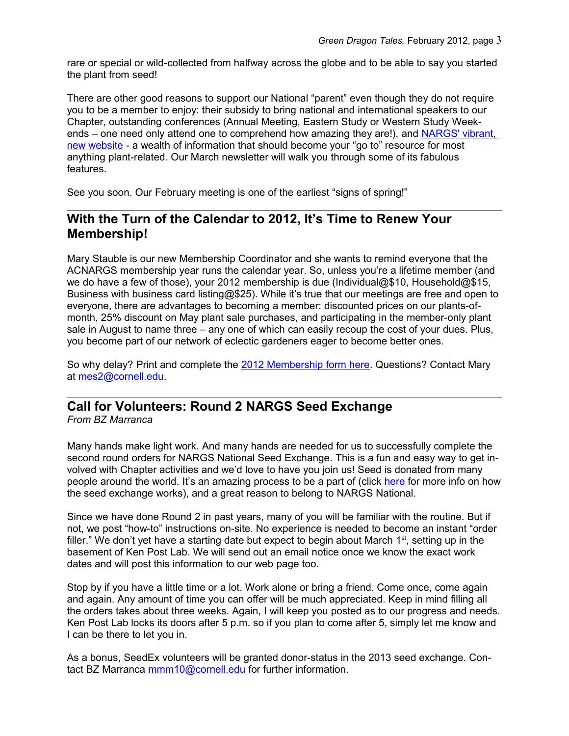rare or special or wild-collected from halfway across the globe and to be able to say you started the plant from seed!

There are other good reasons to support our National "parent" even though they do not require you to be a member to enjoy: their subsidy to bring national and international speakers to our Chapter, outstanding conferences (Annual Meeting, Eastern Study or Western Study Week-ends – one need only attend one to comprehend how amazing they are!), and [NARGS' vibrant,](http://www.nargs.org/) [new website](http://www.nargs.org/) - a wealth of information that should become your "go to" resource for most anything plant-related. Our March newsletter will walk you through some of its fabulous features.

See you soon. Our February meeting is one of the earliest "signs of spring!"

## **With the Turn of the Calendar to 2012, It's Time to Renew Your Membership!**

Mary Stauble is our new Membership Coordinator and she wants to remind everyone that the ACNARGS membership year runs the calendar year. So, unless you're a lifetime member (and we do have a few of those), your 2012 membership is due (Individual@\$10, Household@\$15, Business with business card listing@\$25). While it's true that our meetings are free and open to everyone, there are advantages to becoming a member: discounted prices on our plants-ofmonth, 25% discount on May plant sale purchases, and participating in the member-only plant sale in August to name three – any one of which can easily recoup the cost of your dues. Plus, you become part of our network of eclectic gardeners eager to become better ones.

So why delay? Print and complete the [2012 Membership form here.](http://www.acnargs.org/join.pdf) Questions? Contact Mary at [mes2@cornell.edu.](mailto:mes2@cornell.edu)

## **Call for Volunteers: Round 2 NARGS Seed Exchange**

*From BZ Marranca*

Many hands make light work. And many hands are needed for us to successfully complete the second round orders for NARGS National Seed Exchange. This is a fun and easy way to get involved with Chapter activities and we'd love to have you join us! Seed is donated from many people around the world. It's an amazing process to be a part of (click [here](http://www.nargs.org/index.php?option=com_content&view=article&id=232:basic-seed-exchange-information&catid=75:seedex&Itemid=123) for more info on how the seed exchange works), and a great reason to belong to NARGS National.

Since we have done Round 2 in past years, many of you will be familiar with the routine. But if not, we post "how-to" instructions on-site. No experience is needed to become an instant "order filler." We don't yet have a starting date but expect to begin about March  $1<sup>st</sup>$ , setting up in the basement of Ken Post Lab. We will send out an email notice once we know the exact work dates and will post this information to our web page too.

Stop by if you have a little time or a lot. Work alone or bring a friend. Come once, come again and again. Any amount of time you can offer will be much appreciated. Keep in mind filling all the orders takes about three weeks. Again, I will keep you posted as to our progress and needs. Ken Post Lab locks its doors after 5 p.m. so if you plan to come after 5, simply let me know and I can be there to let you in.

As a bonus, SeedEx volunteers will be granted donor-status in the 2013 seed exchange. Contact BZ Marranca [mmm10@cornell.edu](mailto:mmm10@cornell.edu) for further information.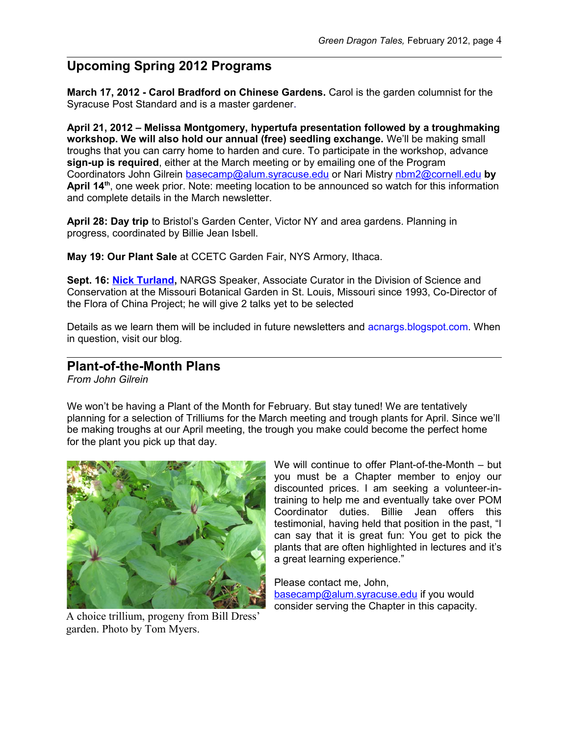# **Upcoming Spring 2012 Programs**

**March 17, 2012 - Carol Bradford on Chinese Gardens.** Carol is the garden columnist for the Syracuse Post Standard and is a master gardener.

**April 21, 2012 – Melissa Montgomery, hypertufa presentation followed by a troughmaking workshop. We will also hold our annual (free) seedling exchange.** We'll be making small troughs that you can carry home to harden and cure. To participate in the workshop, advance **sign-up is required**, either at the March meeting or by emailing one of the Program Coordinators John Gilrein [basecamp@alum.syracuse.edu](mailto:basecamp@alum.syracuse.edu) or Nari Mistry [nbm2@cornell.edu](mailto:nbm2@cornell.edu) **by April 14th**, one week prior. Note: meeting location to be announced so watch for this information and complete details in the March newsletter.

**April 28: Day trip** to Bristol's Garden Center, Victor NY and area gardens. Planning in progress, coordinated by Billie Jean Isbell.

**May 19: Our Plant Sale** at CCETC Garden Fair, NYS Armory, Ithaca.

**Sept. 16: [Nick Turland,](http://www.nargs.org/index.php?option=com_content&view=article&id=178:speakers-tour-2012&catid=62:speakers-tours&Itemid=121)** NARGS Speaker, Associate Curator in the Division of Science and Conservation at the Missouri Botanical Garden in St. Louis, Missouri since 1993, Co-Director of the Flora of China Project; he will give 2 talks yet to be selected

Details as we learn them will be included in future newsletters and acnargs.blogspot.com. When in question, visit our blog.

#### **Plant-of-the-Month Plans**

*From John Gilrein*

We won't be having a Plant of the Month for February. But stay tuned! We are tentatively planning for a selection of Trilliums for the March meeting and trough plants for April. Since we'll be making troughs at our April meeting, the trough you make could become the perfect home for the plant you pick up that day.



A choice trillium, progeny from Bill Dress' garden. Photo by Tom Myers.

We will continue to offer Plant-of-the-Month – but you must be a Chapter member to enjoy our discounted prices. I am seeking a volunteer-intraining to help me and eventually take over POM Coordinator duties. Billie Jean offers this testimonial, having held that position in the past, "I can say that it is great fun: You get to pick the plants that are often highlighted in lectures and it's a great learning experience."

Please contact me, John, [basecamp@alum.syracuse.edu](mailto:basecamp@alum.syracuse.edu) if you would consider serving the Chapter in this capacity.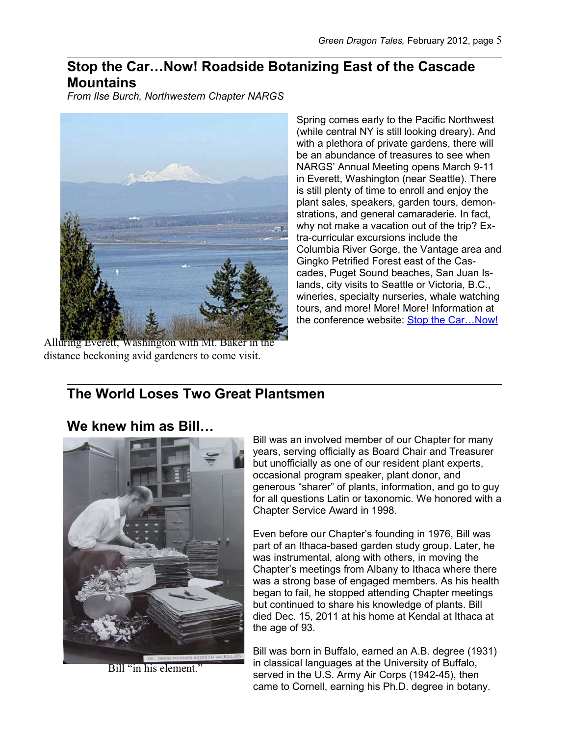## **Stop the Car…Now! Roadside Botanizing East of the Cascade Mountains**

*From Ilse Burch, Northwestern Chapter NARGS*



Alluring Everett, Washington with Mt. Baker in the distance beckoning avid gardeners to come visit.

Spring comes early to the Pacific Northwest (while central NY is still looking dreary). And with a plethora of private gardens, there will be an abundance of treasures to see when NARGS' Annual Meeting opens March 9-11 in Everett, Washington (near Seattle). There is still plenty of time to enroll and enjoy the plant sales, speakers, garden tours, demonstrations, and general camaraderie. In fact, why not make a vacation out of the trip? Extra-curricular excursions include the Columbia River Gorge, the Vantage area and Gingko Petrified Forest east of the Cascades, Puget Sound beaches, San Juan Islands, city visits to Seattle or Victoria, B.C., wineries, specialty nurseries, whale watching tours, and more! More! More! Information at the conference website: [Stop the Car…Now!](http://nedm.drizzlehosting.com/2012/2012.htm)

# **The World Loses Two Great Plantsmen**

### **We knew him as Bill…**



Bill "in his element."

Bill was an involved member of our Chapter for many years, serving officially as Board Chair and Treasurer but unofficially as one of our resident plant experts, occasional program speaker, plant donor, and generous "sharer" of plants, information, and go to guy for all questions Latin or taxonomic. We honored with a Chapter Service Award in 1998.

Even before our Chapter's founding in 1976, Bill was part of an Ithaca-based garden study group. Later, he was instrumental, along with others, in moving the Chapter's meetings from Albany to Ithaca where there was a strong base of engaged members. As his health began to fail, he stopped attending Chapter meetings but continued to share his knowledge of plants. Bill died Dec. 15, 2011 at his home at Kendal at Ithaca at the age of 93.

Bill was born in Buffalo, earned an A.B. degree (1931) in classical languages at the University of Buffalo, served in the U.S. Army Air Corps (1942-45), then came to Cornell, earning his Ph.D. degree in botany.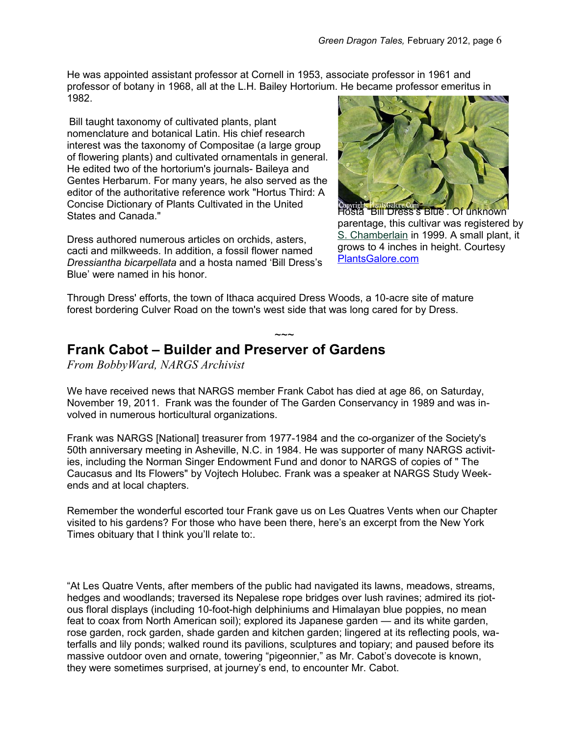He was appointed assistant professor at Cornell in 1953, associate professor in 1961 and professor of botany in 1968, all at the L.H. Bailey Hortorium. He became professor emeritus in 1982.

Bill taught taxonomy of cultivated plants, plant nomenclature and botanical Latin. His chief research interest was the taxonomy of Compositae (a large group of flowering plants) and cultivated ornamentals in general. He edited two of the hortorium's journals- Baileya and Gentes Herbarum. For many years, he also served as the editor of the authoritative reference work "Hortus Third: A Concise Dictionary of Plants Cultivated in the United States and Canada."

Dress authored numerous articles on orchids, asters, cacti and milkweeds. In addition, a fossil flower named *Dressiantha bicarpellata* and a hosta named 'Bill Dress's Blue' were named in his honor.



Hosta "Bill Dress's Blue'. Of unknown parentage, this cultivar was registered by [S. Chamberlain](http://www.plantsgalore.com/Hostas/originators/Chamberlain-Originators.aspx) in 1999. A small plant, it grows to 4 inches in height. Courtesy [PlantsGalore.com](http://www.plantsgalore.com/)

Through Dress' efforts, the town of Ithaca acquired Dress Woods, a 10-acre site of mature forest bordering Culver Road on the town's west side that was long cared for by Dress.

#### $\sim$  $\sim$ **Frank Cabot – Builder and Preserver of Gardens**

*From BobbyWard, NARGS Archivist*

We have received news that NARGS member Frank Cabot has died at age 86, on Saturday, November 19, 2011. Frank was the founder of The Garden Conservancy in 1989 and was involved in numerous horticultural organizations.

Frank was NARGS [National] treasurer from 1977-1984 and the co-organizer of the Society's 50th anniversary meeting in Asheville, N.C. in 1984. He was supporter of many NARGS activities, including the Norman Singer Endowment Fund and donor to NARGS of copies of " The Caucasus and Its Flowers" by Vojtech Holubec. Frank was a speaker at NARGS Study Weekends and at local chapters.

Remember the wonderful escorted tour Frank gave us on Les Quatres Vents when our Chapter visited to his gardens? For those who have been there, here's an excerpt from the New York Times obituary that I think you'll relate to:.

"At Les Quatre Vents, after members of the public had navigated its lawns, meadows, streams, hedges and woodlands; traversed its Nepalese rope bridges over lush ravines; admired its riotous floral displays (including 10-foot-high delphiniums and Himalayan blue poppies, no mean feat to coax from North American soil); explored its Japanese garden — and its white garden, rose garden, rock garden, shade garden and kitchen garden; lingered at its reflecting pools, waterfalls and lily ponds; walked round its pavilions, sculptures and topiary; and paused before its massive outdoor oven and ornate, towering "pigeonnier," as Mr. Cabot's dovecote is known, they were sometimes surprised, at journey's end, to encounter Mr. Cabot.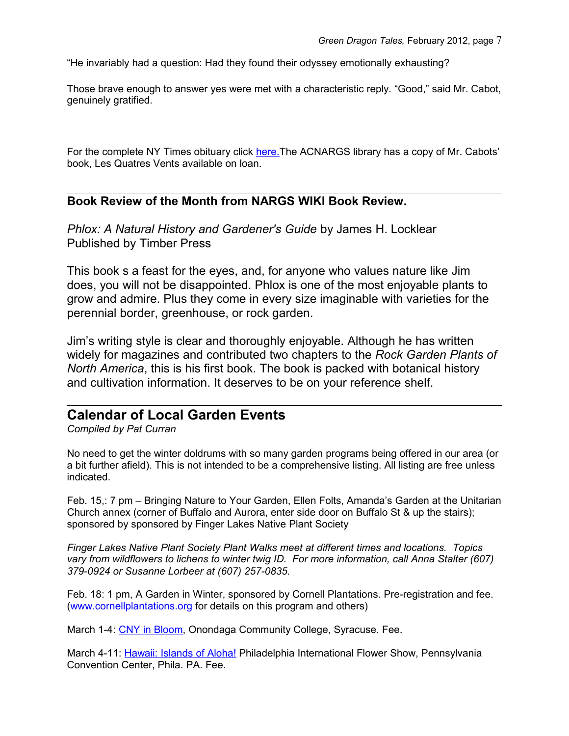"He invariably had a question: Had they found their odyssey emotionally exhausting?

Those brave enough to answer yes were met with a characteristic reply. "Good," said Mr. Cabot, genuinely gratified.

For the complete NY Times obituary click here. The ACNARGS library has a copy of Mr. Cabots' book, Les Quatres Vents available on loan.

#### **Book Review of the Month from NARGS WIKI Book Review.**

*Phlox: A Natural History and Gardener's Guide* by James H. Locklear Published by Timber Press

This book s a feast for the eyes, and, for anyone who values nature like Jim does, you will not be disappointed. Phlox is one of the most enjoyable plants to grow and admire. Plus they come in every size imaginable with varieties for the perennial border, greenhouse, or rock garden.

Jim's writing style is clear and thoroughly enjoyable. Although he has written widely for magazines and contributed two chapters to the *Rock Garden Plants of North America*, this is his first book. The book is packed with botanical history and cultivation information. It deserves to be on your reference shelf.

## **Calendar of Local Garden Events**

*Compiled by Pat Curran*

No need to get the winter doldrums with so many garden programs being offered in our area (or a bit further afield). This is not intended to be a comprehensive listing. All listing are free unless indicated.

Feb. 15,: 7 pm – Bringing Nature to Your Garden, Ellen Folts, Amanda's Garden at the Unitarian Church annex (corner of Buffalo and Aurora, enter side door on Buffalo St & up the stairs); sponsored by sponsored by Finger Lakes Native Plant Society

*Finger Lakes Native Plant Society Plant Walks meet at different times and locations. Topics vary from wildflowers to lichens to winter twig ID. For more information, call Anna Stalter (607) 379-0924 or Susanne Lorbeer at (607) 257-0835.*

Feb. 18: 1 pm, A Garden in Winter, sponsored by Cornell Plantations. Pre-registration and fee. [\(www.cornellplantations.org](http://www.cornellplantations.org/) for details on this program and others)

March 1-4: [CNY in Bloom,](http://www.cnyblooms.com/) Onondaga Community College, Syracuse. Fee.

March 4-11: *Hawaii: Islands of Aloha!* Philadelphia International Flower Show, Pennsylvania Convention Center, Phila. PA. Fee.